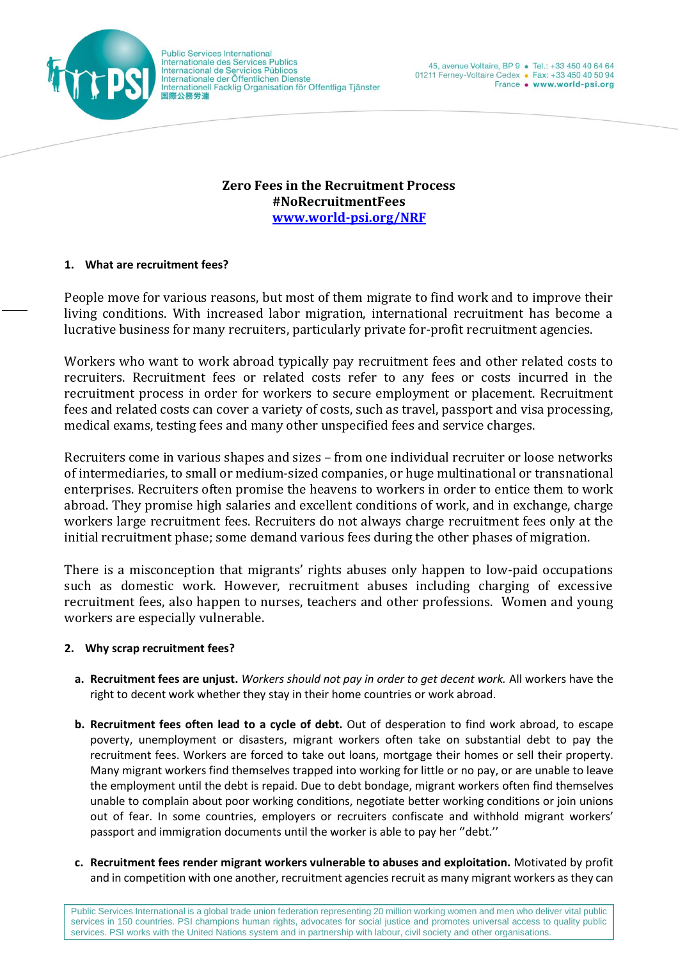

**Public Services International** Internationale des Services Publics Internacional de Servicios Públicos Internationale der Öffentlichen Dienste<br>Internationale der Öffentlichen Dienste<br>Internationell Facklig Organisation för Offentliga Tjänster 国際公務労連

**Zero Fees in the Recruitment Process #NoRecruitmentFees [www.world-psi.org/NRF](http://www.world-psi.org/NRF)**

## **1. What are recruitment fees?**

People move for various reasons, but most of them migrate to find work and to improve their living conditions. With increased labor migration, international recruitment has become a lucrative business for many recruiters, particularly private for-profit recruitment agencies.

Workers who want to work abroad typically pay recruitment fees and other related costs to recruiters. Recruitment fees or related costs refer to any fees or costs incurred in the recruitment process in order for workers to secure employment or placement. Recruitment fees and related costs can cover a variety of costs, such as travel, passport and visa processing, medical exams, testing fees and many other unspecified fees and service charges.

Recruiters come in various shapes and sizes – from one individual recruiter or loose networks of intermediaries, to small or medium-sized companies, or huge multinational or transnational enterprises. Recruiters often promise the heavens to workers in order to entice them to work abroad. They promise high salaries and excellent conditions of work, and in exchange, charge workers large recruitment fees. Recruiters do not always charge recruitment fees only at the initial recruitment phase; some demand various fees during the other phases of migration.

There is a misconception that migrants' rights abuses only happen to low-paid occupations such as domestic work. However, recruitment abuses including charging of excessive recruitment fees, also happen to nurses, teachers and other professions. Women and young workers are especially vulnerable.

## **2. Why scrap recruitment fees?**

- **a. Recruitment fees are unjust.** *Workers should not pay in order to get decent work.* All workers have the right to decent work whether they stay in their home countries or work abroad.
- **b. Recruitment fees often lead to a cycle of debt.** Out of desperation to find work abroad, to escape poverty, unemployment or disasters, migrant workers often take on substantial debt to pay the recruitment fees. Workers are forced to take out loans, mortgage their homes or sell their property. Many migrant workers find themselves trapped into working for little or no pay, or are unable to leave the employment until the debt is repaid. Due to debt bondage, migrant workers often find themselves unable to complain about poor working conditions, negotiate better working conditions or join unions out of fear. In some countries, employers or recruiters confiscate and withhold migrant workers' passport and immigration documents until the worker is able to pay her ''debt.''
- **c. Recruitment fees render migrant workers vulnerable to abuses and exploitation.** Motivated by profit and in competition with one another, recruitment agencies recruit as many migrant workers as they can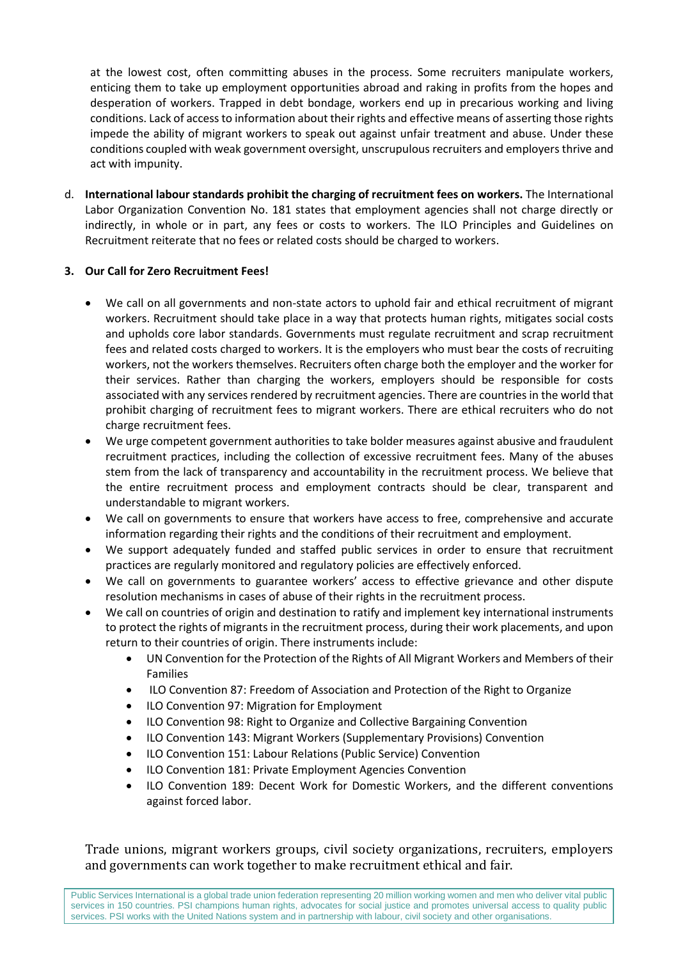at the lowest cost, often committing abuses in the process. Some recruiters manipulate workers, enticing them to take up employment opportunities abroad and raking in profits from the hopes and desperation of workers. Trapped in debt bondage, workers end up in precarious working and living conditions. Lack of access to information about their rights and effective means of asserting those rights impede the ability of migrant workers to speak out against unfair treatment and abuse. Under these conditions coupled with weak government oversight, unscrupulous recruiters and employers thrive and act with impunity.

d. **International labour standards prohibit the charging of recruitment fees on workers.** The International Labor Organization Convention No. 181 states that employment agencies shall not charge directly or indirectly, in whole or in part, any fees or costs to workers. The ILO Principles and Guidelines on Recruitment reiterate that no fees or related costs should be charged to workers.

## **3. Our Call for Zero Recruitment Fees!**

- We call on all governments and non-state actors to uphold fair and ethical recruitment of migrant workers. Recruitment should take place in a way that protects human rights, mitigates social costs and upholds core labor standards. Governments must regulate recruitment and scrap recruitment fees and related costs charged to workers. It is the employers who must bear the costs of recruiting workers, not the workers themselves. Recruiters often charge both the employer and the worker for their services. Rather than charging the workers, employers should be responsible for costs associated with any services rendered by recruitment agencies. There are countries in the world that prohibit charging of recruitment fees to migrant workers. There are ethical recruiters who do not charge recruitment fees.
- We urge competent government authorities to take bolder measures against abusive and fraudulent recruitment practices, including the collection of excessive recruitment fees. Many of the abuses stem from the lack of transparency and accountability in the recruitment process. We believe that the entire recruitment process and employment contracts should be clear, transparent and understandable to migrant workers.
- We call on governments to ensure that workers have access to free, comprehensive and accurate information regarding their rights and the conditions of their recruitment and employment.
- We support adequately funded and staffed public services in order to ensure that recruitment practices are regularly monitored and regulatory policies are effectively enforced.
- We call on governments to guarantee workers' access to effective grievance and other dispute resolution mechanisms in cases of abuse of their rights in the recruitment process.
- We call on countries of origin and destination to ratify and implement key international instruments to protect the rights of migrants in the recruitment process, during their work placements, and upon return to their countries of origin. There instruments include:
	- UN Convention for the Protection of the Rights of All Migrant Workers and Members of their Families
	- ILO Convention 87: Freedom of Association and Protection of the Right to Organize
	- ILO Convention 97: Migration for Employment
	- ILO Convention 98: Right to Organize and Collective Bargaining Convention
	- ILO Convention 143: Migrant Workers (Supplementary Provisions) Convention
	- ILO Convention 151: Labour Relations (Public Service) Convention
	- ILO Convention 181: Private Employment Agencies Convention
	- ILO Convention 189: Decent Work for Domestic Workers, and the different conventions against forced labor.

Trade unions, migrant workers groups, civil society organizations, recruiters, employers and governments can work together to make recruitment ethical and fair.